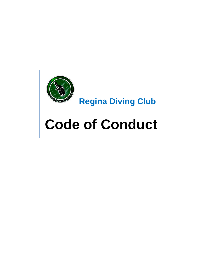

# **Code of Conduct**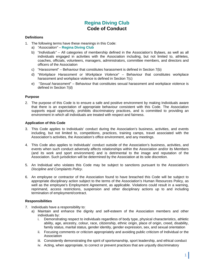# **Regina Diving Club Code of Conduct**

# **Definitions**

- 1. The following terms have these meanings in this Code:
	- a) *"Association"* **Regina Diving Club**
	- b) "*Individuals"* All categories of membership defined in the Association's Bylaws, as well as all individuals engaged in activities with the Association including, but not limited to, athletes, coaches, officials, volunteers, managers, administrators, committee members, and directors and officers of the Association
	- c) "*Harassment*" Behaviour that constitutes harassment is defined in Section 7(b)
	- d) "*Workplace Harassment or Workplace Violence*" Behaviour that constitutes workplace harassment and workplace violence is defined in Section 7(c)
	- e) "*Sexual harassment*" Behaviour that constitutes sexual harassment and workplace violence is defined in Section 7(d)

# **Purpose**

2. The purpose of this Code is to ensure a safe and positive environment by making Individuals aware that there is an expectation of appropriate behaviour consistent with this Code. The Association supports equal opportunity, prohibits discriminatory practices, and is committed to providing an environment in which all individuals are treated with respect and fairness.

# **Application of this Code**

- 3. This Code applies to Individuals' conduct during the Association's business, activities, and events including, but not limited to, competitions, practices, training camps, travel associated with the Association's activities, the Association's office environment, and any meetings.
- 4. This Code also applies to Individuals' conduct outside of the Association's business, activities, and events when such conduct adversely affects relationships within the Association and/or its Members (and its work and sport environment) and is detrimental to the image and reputation of the Association. Such jurisdiction will be determined by the Association at its sole discretion.
- 5. An Individual who violates this Code may be subject to sanctions pursuant to the Association's *Discipline and Complaints Policy*.
- 6. An employee or contractor of the Association found to have breached this Code will be subject to appropriate disciplinary action subject to the terms of the Association's Human Resources Policy*,* as well as the employee's Employment Agreement, as applicable. Violations could result in a warning, reprimand, access restrictions, suspension and other disciplinary actions up to and including termination of employment/contract.

# **Responsibilities**

- 7. Individuals have a responsibility to:
	- a) Maintain and enhance the dignity and self-esteem of the Association members and other individuals by:
		- i. Demonstrating respect to individuals regardless of body type, physical characteristics, athletic ability, age, ancestry, colour, race, citizenship, ethnic origin, place of origin, creed, disability, family status, marital status, gender identity, gender expression, sex, and sexual orientation
		- ii. Focusing comments or criticism appropriately and avoiding public criticism of Individual or the **Association**
		- iii. Consistently demonstrating the spirit of sportsmanship, sport leadership, and ethical conduct
		- iv. Acting, when appropriate, to correct or prevent practices that are unjustly discriminatory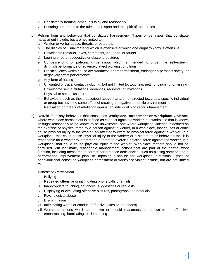- v. Consistently treating individuals fairly and reasonably
- vi. Ensuring adherence to the rules of the sport and the spirit of those rules
- b) Refrain from any behaviour that constitutes **harassment**. Types of behaviour that constitute harassment include, but are not limited to:
	- a. Written or verbal abuse, threats, or outbursts
	- b. The display of visual material which is offensive or which one ought to know is offensive
	- c. Unwelcome remarks, jokes, comments, innuendo, or taunts
	- d. Leering or other suggestive or obscene gestures
	- e. Condescending or patronizing behaviour which is intended to undermine self-esteem, diminish performance or adversely affect working conditions
	- f. Practical jokes which cause awkwardness or embarrassment, endanger a person's safety, or negatively affect performance
	- g. Any form of hazing
	- h. Unwanted physical contact including, but not limited to, touching, petting, pinching, or kissing
	- i. Unwelcome sexual flirtations, advances, requests, or invitations
	- j. Physical or sexual assault
	- k. Behaviours such as those described above that are not directed towards a specific individual or group but have the same effect of creating a negative or hostile environment
	- l. Retaliation or threats of retaliation against an individual who reports harassment
- c) Refrain from any behaviour that constitutes **Workplace Harassment or Workplace Violence**, where workplace harassment is defined as conduct against a worker in a workplace that is known or ought reasonably to be known to be unwelcome; and where workplace violence is defined as the exercise of physical force by a person against a worker, in a workplace, that causes or could cause physical injury to the worker; an attempt to exercise physical force against a worker, in a workplace, that could cause physical injury to the worker; or a statement or behaviour that it is reasonable for a worker to interpret as a threat to exercise physical force against the worker, in a workplace, that could cause physical injury to the worker. Workplace matters should not be confused with legitimate, reasonable management actions that are part of the normal work function, including measures to correct performance deficiencies, such as placing someone on a performance improvement plan, or imposing discipline for workplace infractions. Types of behaviour that constitute workplace harassment or workplace violent include, but are not limited to:

#### *Workplace Harassment*

- i. Bullying
- ii. Repeated offensive or intimidating phone calls or emails
- iii. Inappropriate touching, advances, suggestions or requests
- iv. Displaying or circulating offensive pictures, photographs or materials
- v. Psychological abuse
- vi. Discrimination
- vii. Intimidating words or conduct (offensive jokes or innuendos)
- viii. Words or actions which are known or should reasonably be known to be offensive, embarrassing, humiliating, or demeaning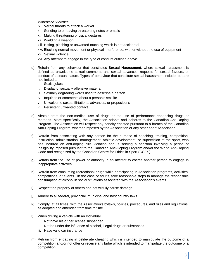*Workplace Violence* 

- ix. Verbal threats to attack a worker
- x. Sending to or leaving threatening notes or emails
- xi. Making threatening physical gestures
- xii. Wielding a weapon
- xiii. Hitting, pinching or unwanted touching which is not accidental
- xiv. Blocking normal movement or physical interference, with or without the use of equipment
- xv. Sexual violence
- xvi. Any attempt to engage in the type of conduct outlined above
- d) Refrain from any behaviour that constitutes **Sexual Harassment**, where sexual harassment is defined as unwelcome sexual comments and sexual advances, requests for sexual favours, or conduct of a sexual nature. Types of behaviour that constitute sexual harassment include, but are not limited to:
	- i. Sexist jokes
	- ii. Display of sexually offensive material
	- iii. Sexually degrading words used to describe a person
	- iv. Inquiries or comments about a person's sex life
	- v. Unwelcome sexual flirtations, advances, or propositions
	- vi. Persistent unwanted contact
- e) Abstain from the non-medical use of drugs or the use of performance-enhancing drugs or methods. More specifically, the Association adopts and adheres to the Canadian Anti-Doping Program. The Association will respect any penalty enacted pursuant to a breach of the Canadian Anti-Doping Program, whether imposed by the Association or any other sport Association
- f) Refrain from associating with any person for the purpose of coaching, training, competition, instruction, administration, management, athletic development, or supervision of the sport, who has incurred an anti-doping rule violation and is serving a sanction involving a period of ineligibility imposed pursuant to the Canadian Anti-Doping Program and/or the World Anti-Doping Code and recognized by the Canadian Centre for Ethics in Sport (CCES)
- g) Refrain from the use of power or authority in an attempt to coerce another person to engage in inappropriate activities
- h) Refrain from consuming recreational drugs while participating in Association programs, activities, competitions, or events. In the case of adults, take reasonable steps to manage the responsible consumption of alcohol in social situations associated with the Association's events
- i) Respect the property of others and not wilfully cause damage
- j) Adhere to all federal, provincial, municipal and host country laws
- k) Comply, at all times, with the Association's bylaws, policies, procedures, and rules and regulations, as adopted and amended from time to time
- l) When driving a vehicle with an Individual:
	- i. Not have his or her license suspended
	- ii. Not be under the influence of alcohol, illegal drugs or substances
	- iii. Have valid car insurance
- m) Refrain from engaging in deliberate cheating which is intended to manipulate the outcome of a competition and/or not offer or receive any bribe which is intended to manipulate the outcome of a competition.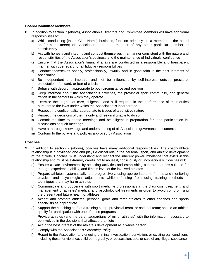# **Board/Committee Members**

- 8. In addition to section 7 (above), Association's Directors and Committee Members will have additional responsibilities to:
	- a) While conducting [Insert Club Name] business, function primarily as a member of the board and/or committee(s) of Association; not as a member of any other particular member or constituency
	- b) Act with honesty and integrity and conduct themselves in a manner consistent with the nature and responsibilities of the Association's business and the maintenance of Individuals' confidence
	- c) Ensure that the Association's financial affairs are conducted in a responsible and transparent manner with due regard for all fiduciary responsibilities
	- d) Conduct themselves openly, professionally, lawfully and in good faith in the best interests of Association
	- e) Be independent and impartial and not be influenced by self-interest, outside pressure, expectation of reward, or fear of criticism
	- f) Behave with decorum appropriate to both circumstance and position
	- g) Keep informed about the Association's activities, the provincial sport community, and general trends in the sectors in which they operate
	- h) Exercise the degree of care, diligence, and skill required in the performance of their duties pursuant to the laws under which the Association is incorporated
	- i) Respect the confidentiality appropriate to issues of a sensitive nature
	- j) Respect the decisions of the majority and resign if unable to do so
	- k) Commit the time to attend meetings and be diligent in preparation for, and participation in, discussions at such meetings
	- l) Have a thorough knowledge and understanding of all Association governance documents
	- m) Conform to the bylaws and policies approved by Association

#### **Coaches**

- 9. In addition to section 7 (above), coaches have many additional responsibilities. The coach-athlete relationship is a privileged one and plays a critical role in the personal, sport, and athletic development of the athlete. Coaches must understand and respect the inherent power imbalance that exists in this relationship and must be extremely careful not to abuse it, consciously or unconsciously. Coaches will:
	- a) Ensure a safe environment by selecting activities and establishing controls that are suitable for the age, experience, ability, and fitness level of the involved athletes
	- b) Prepare athletes systematically and progressively, using appropriate time frames and monitoring physical and psychological adjustments while refraining from using training methods or techniques that may harm athletes
	- c) Communicate and cooperate with sport medicine professionals in the diagnosis, treatment, and management of athletes' medical and psychological treatments in order to avoid compromising the present and future health of athletes
	- d) Accept and promote athletes' personal goals and refer athletes to other coaches and sports specialists as appropriate
	- e) Support the coaching staff of a training camp, provincial team, or national team; should an athlete qualify for participation with one of these programs
	- f) Provide athletes (and the parents/guardians of minor athletes) with the information necessary to be involved in the decisions that affect the athlete
	- g) Act in the best interest of the athlete's development as a whole person
	- h) Comply with the Association's *Screening Policy*
	- i) Report to the Association any ongoing criminal investigation, conviction, or existing bail conditions, including those for violence, child pornography, or possession, use, or sale of any illegal substance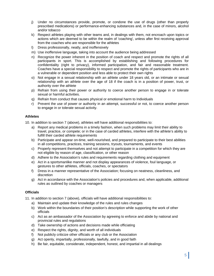- j) Under no circumstances provide, promote, or condone the use of drugs (other than properly prescribed medications) or performance-enhancing substances and, in the case of minors, alcohol and/or tobacco
- k) Respect athletes playing with other teams and, in dealings with them, not encroach upon topics or actions which are deemed to be within the realm of 'coaching', unless after first receiving approval from the coaches who are responsible for the athletes
- l) Dress professionally, neatly, and inoffensively
- m) Use inoffensive language, taking into account the audience being addressed
- n) Recognize the power inherent in the position of coach and respect and promote the rights of all participants in sport. This is accomplished by establishing and following procedures for confidentiality (right to privacy), informed participation, and fair and reasonable treatment. Coaches have a special responsibility to respect and promote the rights of participants who are in a vulnerable or dependent position and less able to protect their own rights
- o) Not engage in a sexual relationship with an athlete under 18 years old, or an intimate or sexual relationship with an athlete over the age of 18 if the coach is in a position of power, trust, or authority over the athlete
- p) Refrain from using their power or authority to coerce another person to engage in or tolerate sexual or harmful activities.
- q) Refrain from conduct that causes physical or emotional harm to Individuals
- r) Prevent the use of power or authority in an attempt, successful or not, to coerce another person to engage in or tolerate sexual activity.

# **Athletes**

10. In addition to section 7 (above), athletes will have additional responsibilities to:

- a) Report any medical problems in a timely fashion, when such problems may limit their ability to travel, practice, or compete; or in the case of carded athletes, interfere with the athlete's ability to fulfill their carded athlete requirements
- b) Participate and appear on-time, well-nourished, and prepared to participate to their best abilities in all competitions, practices, training sessions, tryouts, tournaments, and events
- c) Properly represent themselves and not attempt to participate in a competition for which they are not eligible by reason of age, classification, or other reason
- d) Adhere to the Association's rules and requirements regarding clothing and equipment
- e) Act in a sportsmanlike manner and not display appearances of violence, foul language, or gestures to other athletes, officials, coaches, or spectators
- f) Dress in a manner representative of the Association; focusing on neatness, cleanliness, and discretion
- g) Act in accordance with the Association's policies and procedures and, when applicable, additional rules as outlined by coaches or managers

#### **Officials**

11. In addition to section 7 (above), officials will have additional responsibilities to:

- a) Maintain and update their knowledge of the rules and rules changes
- b) Work within the boundaries of their position's description while supporting the work of other officials
- c) Act as an ambassador of the Association by agreeing to enforce and abide by national and provincial rules and regulations
- d) Take ownership of actions and decisions made while officiating
- e) Respect the rights, dignity, and worth of all individuals
- f) Not publicly criticize other officials or any club or the Association
- g) Act openly, impartially, professionally, lawfully, and in good faith
- h) Be fair, equitable, considerate, independent, honest, and impartial in all dealings